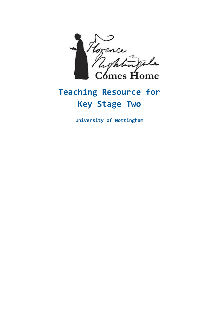

# **Teaching Resource for Key Stage Two**

**University of Nottingham**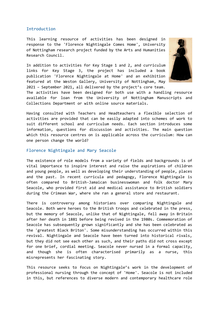#### Introduction

This learning resource of activities has been designed in response to the 'Florence Nightingale Comes Home', University of Nottingham research project funded by the Arts and Humanities Research Council.

In addition to activities for Key Stage 1 and 2, and curriculum links for Key Stage 3, the project has included a book publication 'Florence Nightingale at Home' and an exhibition featured at the Weston Gallery, University of Nottingham, May 2021 – September 2021, all delivered by the project's core team.



The activities have been designed for both use with a handling resource available for loan from the University of Nottingham Manuscripts and Collections Department or with online source materials.

Having consulted with Teachers and Headteachers a flexible selection of activities are provided that can be easily adapted into schemes of work to suit different school and curriculum needs. Each section introduces some information, questions for discussion and activities. The main question which this resource centres on is applicable across the curriculum: How can one person change the world?

## Florence Nightingale and Mary Seacole

The existence of role models from a variety of fields and backgrounds is of vital importance to inspire interest and raise the aspirations of children and young people, as well as developing their understanding of people, places and the past. In recent curricula and pedagogy, Florence Nightingale is often compared to British-Jamaican businesswoman and folk doctor Mary Seacole, who provided first aid and medical assistance to British soldiers during the Crimean War, where she ran a general store and restaurant.

There is controversy among historians over comparing Nightingale and Seacole. Both were heroes to the British troops and celebrated in the press, but the memory of Seacole, unlike that of Nightingale, fell away in Britain after her death in 1881 before being revived in the 1980s. Commemoration of Seacole has subsequently grown significantly and she has been celebrated as the 'greatest Black Briton'. Some misunderstanding has occurred within this revival. Nightingale and Seacole have been turned into historical rivals, but they did not see each other as such, and their paths did not cross except for one brief, cordial meeting. Seacole never nursed in a formal capacity, and though she is often characterised primarily as a nurse, this misrepresents her fascinating story.

This resource seeks to focus on Nightingale's work in the development of professional nursing through the concept of 'Home'. Seacole is not included in this, but references to diverse modern and contemporary healthcare role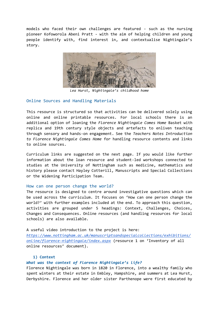models who faced their own challenges are featured - such as the nursing pioneer Kofoworola Abeni Pratt - with the aim of helping children and young people identify with, find interest in, and contextualise Nightingale's story.



*Lea Hurst, Nightingale's childhood home*

## Online Sources and Handling Materials

This resource is structured so that activities can be delivered solely using online and online printable resources. For local schools there is an additional option of loaning the *Florence Nightingale Comes Home* Basket with replica and 19th century style objects and artefacts to enliven teaching through sensory and hands-on engagement. See the *Teachers Notes Introduction to Florence Nightingale Comes Home* for handling resource contents and links to online sources.

Curriculum links are suggested on the next page. If you would like further information about the loan resource and student-led workshops connected to studies at the University of Nottingham such as medicine, mathematics and history please contact Hayley Cotterill, Manuscripts and Special Collections or the Widening Participation Team.

## How can one person change the world?

The resource is designed to centre around investigative questions which can be used across the curriculum. It focuses on 'How can one person change the world?' with further examples included at the end. To approach this question, activities are grouped under 5 headings: Context, Challenges, Choices, Changes and Consequences. Online resources (and handling resources for local schools) are also available.

A useful video introduction to the project is here:

*[https://www.nottingham.ac.uk/manuscriptsandspecialcollections/exhibitions/](https://www.nottingham.ac.uk/manuscriptsandspecialcollections/exhibitions/online/florence-nightingale/index.aspx) [online/florence-nightingale/index.aspx](https://www.nottingham.ac.uk/manuscriptsandspecialcollections/exhibitions/online/florence-nightingale/index.aspx)* (resource 1 on 'Inventory of all online resources' document)*.* 

## **1) Context**

## *What was the context of Florence Nightingale's life?*

Florence Nightingale was born in 1820 in Florence, into a wealthy family who spent winters at their estate in Embley, Hampshire, and summers at Lea Hurst, Derbyshire. Florence and her older sister Parthenope were first educated by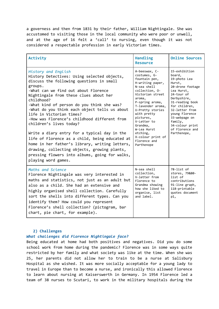a governess and then from 1831 by their father, William Nightingale. She was accustomed to visiting those in the local community who were poor or unwell, and at the age of 16 felt a 'call' to nursing, even though it was not considered a respectable profession in early Victorian times.

| Activity                                                                                                                                                                                                                                                                                                                                                                                                                                                                                                                                                                                                                                                                                                     | Handling<br><b>Resource</b>                                                                                                                                                                                                                                                                                                        | <b>Online Sources</b>                                                                                                                                                                                                                                                     |
|--------------------------------------------------------------------------------------------------------------------------------------------------------------------------------------------------------------------------------------------------------------------------------------------------------------------------------------------------------------------------------------------------------------------------------------------------------------------------------------------------------------------------------------------------------------------------------------------------------------------------------------------------------------------------------------------------------------|------------------------------------------------------------------------------------------------------------------------------------------------------------------------------------------------------------------------------------------------------------------------------------------------------------------------------------|---------------------------------------------------------------------------------------------------------------------------------------------------------------------------------------------------------------------------------------------------------------------------|
| History and English<br>History Detectives: Using selected objects,<br>discuss the following questions in small<br>groups.<br>-What can we find out about Florence<br>Nightingale from these clues about her<br>childhood?<br>-What kind of person do you think she was?<br>-What do you think each object tells us about<br>life in Victorian times?<br>-How was Florence's childhood different from<br>children's lives today?<br>Write a diary entry for a typical day in the<br>life of Florence as a child, being educated at<br>home in her father's library, writing letters,<br>drawing, collecting objects, growing plants,<br>pressing flowers into albums, going for walks,<br>playing word games. | A-beeswax, C-<br>costumes, G-<br>fountain pen,<br>H-writing paper,<br>N-sea shell<br>collection, 0-<br>Victorian street<br>aroma,<br>P-spring aroma,<br>T-lavender aroma,<br>U-Pretty stories<br>with pretty<br>pictures,<br>V-Letter to<br>Grandma,<br>W-Lea Hurst<br>etching,<br>X-colour print of<br>Florence and<br>Parthenope | 15-exhibition<br>board,<br>19-photo Lea<br>Hurst,<br>20-drone footage<br>Lea Hurst,<br>24-tour of<br>Derbyshire,<br>31-reading book<br>for children,<br>32-letter from<br>young Florence<br>33-webpage on<br>family,<br>34-colour print<br>of Florence and<br>Parthenope, |
| Maths and Science<br>Florence Nightingale was very interested in<br>maths and statistics, not just as an adult but<br>also as a child. She had an extensive and<br>highly organised shell collection. Carefully<br>sort the shells into different types. Can you<br>identify them? How could you represent<br>Florence's shell collection? (pictogram, bar<br>chart, pie chart, for example).                                                                                                                                                                                                                                                                                                                | N-sea shell<br>collection,<br>V-letter from<br>Florence to<br>Grandma showing<br>how she liked to<br>organise, list<br>and label.                                                                                                                                                                                                  | 78-list of<br>stores, 79&80-<br>list of<br>contributions<br>91-line graph,<br>118-printable<br>quotes document<br>p1,                                                                                                                                                     |

## **2) Challenges**

#### *What challenges did Florence Nightingale face?*

Being educated at home had both positives and negatives. Did you do some school work from home during the pandemic? Florence was in some ways quite restricted by her family and what society was like at the time. When she was 25, her parents did not allow her to train to be a nurse at Salisbury Hospital as she wished. It was more socially acceptable for a young lady to travel in Europe than to become a nurse, and ironically this allowed Florence to learn about nursing at Kaiserswerth in Germany. In 1954 Florence led a team of 38 nurses to Scutari, to work in the military hospitals during the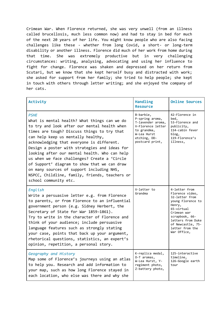Crimean War. When Florence returned, she was very unwell (from an illness called brucellosis, much less common now) and had to stay in bed for much of the next 20 years of her life. You might know people who are also facing challenges like these - whether from long Covid, a short- or long-term disability or another illness. Florence did much of her work from home during that time. She was extremely productive but in very challenging circumstances: writing, analysing, advocating and using her influence to fight for change. Florence was shaken and depressed on her return from Scutari, but we know that she kept herself busy and distracted with work; she asked for support from her family; she tried to help people; she kept in touch with others through letter writing; and she enjoyed the company of her cats.

| Activity                                                                                                                                                                                                                                                                                                                                                                                                                                                                                                                                                                | Handling<br><b>Resource</b>                                                                                                             | <b>Online Sources</b>                                                                                                                                                                                        |
|-------------------------------------------------------------------------------------------------------------------------------------------------------------------------------------------------------------------------------------------------------------------------------------------------------------------------------------------------------------------------------------------------------------------------------------------------------------------------------------------------------------------------------------------------------------------------|-----------------------------------------------------------------------------------------------------------------------------------------|--------------------------------------------------------------------------------------------------------------------------------------------------------------------------------------------------------------|
| <b>PSHE</b><br>What is mental health? What things can we do<br>to try and look after our mental health when<br>times are tough? Discuss things to try that<br>can help keep us mentally healthy,<br>acknowledging that everyone is different.<br>Design a poster with strategies and ideas for<br>looking after our mental health. Who can help<br>us when we face challenges? Create a 'Circle<br>of Support' diagram to show that we can draw<br>on many sources of support including NHS,<br>NSPCC, Childline, family, friends, teachers or<br>school community etc. | B-barbie,<br>P-spring aroma,<br>T-lavender aroma,<br>V-Florence letter<br>to grandma,<br>W-Lea Hurst<br>etching, DD-<br>postcard print, | 42-Florence in<br>bed,<br>53-Florence and<br>publicity,<br>114-cabin fever<br>blog,<br>119-Florence's<br>illness,                                                                                            |
| English<br>Write a persuasive letter e.g. from Florence<br>to parents, or from Florence to an influential<br>government person (e.g. Sidney Herbert, the<br>Secretary of State for War 1859-1861).<br>Try to write in the character of Florence and<br>think of your audience; include persuasive<br>language features such as strongly stating<br>your case, points that back up your argument,<br>rhetorical questions, statistics, an expert's<br>opinion, repetition, a personal story.                                                                             | V-letter to<br>Grandma                                                                                                                  | 4-letter from<br>Florence video,<br>32-letter from<br>young Florence to<br>Henry,<br>65-virtual<br>Crimean war<br>scrapbook, 66-<br>letters from Duke<br>of Newcastle, 75-<br>letter from the<br>War Office, |
| Geography and History<br>Map some of Florence's journeys using an atlas<br>to help you. Research and add information to<br>your map, such as how long Florence stayed in<br>each location, who else was there and why she                                                                                                                                                                                                                                                                                                                                               | K-replica medal,<br>0-T aromas,<br>W-Lea Hurst, Y-<br>regiment photo,<br>Z-battery photo,                                               | 125-interactive<br>timeline,<br>126-Google earth<br>tour                                                                                                                                                     |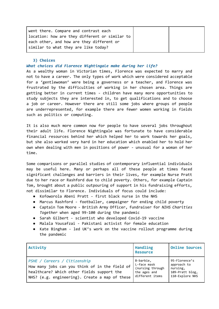## **3) Choices**

#### *What choices did Florence Nightingale make during her life?*

As a wealthy woman in Victorian times, Florence was expected to marry and not to have a career. The only types of work which were considered acceptable for a 'gentlewoman' were being a governess or a teacher, and Florence was frustrated by the difficulties of working in her chosen area. Things are getting better in current times - children have many more opportunities to study subjects they are interested in, to get qualifications and to choose a job or career. However there are still some jobs where groups of people are underrepresented, for example there are fewer women working in fields such as politics or computing.

It is also much more common now for people to have several jobs throughout their adult life. Florence Nightingale was fortunate to have considerable financial resources behind her which helped her to work towards her goals, but she also worked very hard in her education which enabled her to hold her own when dealing with men in positions of power - unusual for a woman of her time.

Some comparisons or parallel studies of contemporary influential individuals may be useful here. Many or perhaps all of these people at times faced significant challenges and barriers in their lives, for example Nurse Pratt due to her race or Rashford due to child poverty. Others, for example Captain Tom, brought about a public outpouring of support in his fundraising efforts, not dissimilar to Florence. Individuals of focus could include:

- Kofoworola Abeni Pratt first black nurse in the NHS
- Marcus Rashford footballer, campaigner for ending child poverty
- Captain Tom Moore British Army Officer, fundraiser for *NIHS Charities Together* when aged 99-100 during the pandemic
- Sarah Gilbert scientist who developed Covid-19 vaccine
- Malala Yousafzai Pakistani activist for female education
- Kate Bingham led UK's work on the vaccine rollout programme during the pandemic

| Activity                                                                                                                                                                       | Handling<br><b>Resource</b>                                                     | <b>Online Sources</b>                                                          |
|--------------------------------------------------------------------------------------------------------------------------------------------------------------------------------|---------------------------------------------------------------------------------|--------------------------------------------------------------------------------|
| PSHE / Careers / Citizenship<br>How many jobs can you think of in the field of<br>healthcare? Which other fields support the<br>NHS? (e.g. engineering). Create a map of these | B-barbie,<br>L-face mask<br>(nursing through<br>the ages and<br>different items | 95-Florence's<br>approach to<br>nursing,<br>109-Pratt blog,<br>110-Explore NHS |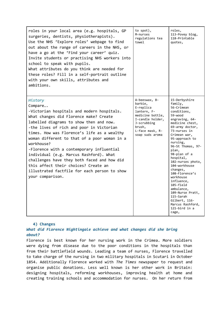| roles in your local area (e.g. hospitals, GP<br>surgeries, dentists, physiotherapists).<br>Use the NHS 'Explore roles' webpage to find<br>out about the range of careers in the NHS, or<br>have a go at the 'Find your career' quiz.<br>Invite students or practising NHS workers into<br>school to speak with pupils.<br>What attributes do you think are needed for<br>these roles? Fill in a self-portrait outline<br>with your own skills, attributes and<br>ambitions.                                                                                       | to spot),<br>M-nurses<br>regulations tea<br>towel                                                                                                           | roles,<br>113-Povey blog,<br>118-Printable<br>quotes,                                                                                                                                                                                                                                                                                                                                                                                                                       |
|-------------------------------------------------------------------------------------------------------------------------------------------------------------------------------------------------------------------------------------------------------------------------------------------------------------------------------------------------------------------------------------------------------------------------------------------------------------------------------------------------------------------------------------------------------------------|-------------------------------------------------------------------------------------------------------------------------------------------------------------|-----------------------------------------------------------------------------------------------------------------------------------------------------------------------------------------------------------------------------------------------------------------------------------------------------------------------------------------------------------------------------------------------------------------------------------------------------------------------------|
| History<br>Compare<br>-Victorian hospitals and modern hospitals.<br>What changes did Florence make? Create<br>labelled diagrams to show then and now.<br>-the lives of rich and poor in Victorian<br>times. How was Florence's life as a wealthy<br>woman different to that of a poor woman in a<br>workhouse?<br>-Florence with a contemporary influential<br>individual (e.g. Marcus Rashford). What<br>challenges have they both faced and how did<br>this affect their choices? Create an<br>illustrated factfile for each person to show<br>your comparison. | A-beeswax, B-<br>barbie,<br>E-replica<br>lantern, F-<br>medicine bottle,<br>I-candle holder,<br>J-scrubbing<br>brush,<br>L-face mask, R-<br>soap suds aroma | 15-Derbyshire<br>family,<br>56-Crimean<br>conditions,<br>59-wood<br>engraving, 64-<br>medicine chest,<br>69-army doctor,<br>73-nurses in<br>Crimean war,<br>95-approach to<br>nursing,<br>96-St Thomas, 97-<br>plan,<br>98-plan of a<br>hospital,<br>102-nurses photo,<br>104-workhouse<br>changes,<br>108-Florence's<br>workhouse<br>influence,<br>105-field<br>ambulance,<br>109-Nurse Pratt,<br>115-Sarah<br>Gilbert, 116-<br>Marcus Rashford,<br>121-bird in a<br>cage, |

# **4) Changes**

*What did Florence Nightingale achieve and what changes did she bring about?* 

Florence is best known for her nursing work in the Crimea. More soldiers were dying from disease due to the poor conditions in the hospitals than from their battlefield wounds. Leading a team of nurses, Florence travelled to take charge of the nursing in two military hospitals in Scutari in October 1854. Additionally Florence worked with *The Times* newspaper to request and organise public donations. Less well known is her other work in Britain: designing hospitals, reforming workhouses, improving health at home and creating training schools and accommodation for nurses. On her return from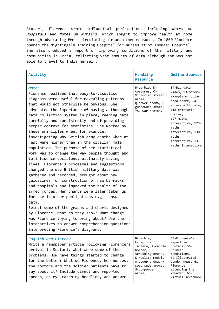Scutari, Florence wrote influential publications including *Notes on Hospitals* and *Notes on Nursing*, which sought to improve health at home through advocating fresh circulating air and other measures. In 1860 Florence opened the Nightingale Training Hospital for nurses at St Thomas' Hospital. She also produced a report on improving conditions of the military and communities in India, collecting vast amounts of data although she was not able to travel to India herself.

| Activity                                                                                                                                                                                                                                                                                                                                                                                                                                                                                                                                                                                                                                                                                                                                                                                                                                                                                                                                                                                                                                                                                                                                                                                                           | Handling<br><b>Resource</b>                                                                                                                                         | <b>Online Sources</b>                                                                                                                                                                                                                      |
|--------------------------------------------------------------------------------------------------------------------------------------------------------------------------------------------------------------------------------------------------------------------------------------------------------------------------------------------------------------------------------------------------------------------------------------------------------------------------------------------------------------------------------------------------------------------------------------------------------------------------------------------------------------------------------------------------------------------------------------------------------------------------------------------------------------------------------------------------------------------------------------------------------------------------------------------------------------------------------------------------------------------------------------------------------------------------------------------------------------------------------------------------------------------------------------------------------------------|---------------------------------------------------------------------------------------------------------------------------------------------------------------------|--------------------------------------------------------------------------------------------------------------------------------------------------------------------------------------------------------------------------------------------|
| Maths<br>Florence realised that easy-to-visualise<br>diagrams were useful for revealing patterns<br>that would not otherwise be obvious. She<br>advocated the importance of having a thorough<br>data collection system in place, keeping data<br>carefully and consistently and of providing<br>proper context for statistics. She worked by<br>these principles when, for example,<br>investigating why British army deaths when at<br>rest were higher than in the civilian male<br>population. The purpose of her statistical<br>work was to change the way people thought and<br>to influence decisions, ultimately saving<br>lives. Florence's processes and suggestions<br>changed the way British military data was<br>gathered and recorded, brought about new<br>guidelines for construction of new barracks<br>and hospitals and improved the health of the<br>armed forces. Her charts were later taken up<br>for use in other publications e.g. census<br>data.<br>Select some of the graphs and charts designed<br>by Florence. What do they show? What change<br>was Florence trying to bring about? Use the<br>interactives to answer comprehension questions<br>interpreting Florence's diagrams. | B-barbie, D-<br>costumes, 0-<br>Victorian street<br>aroma,<br>Q-sewer aroma, S-<br>gunpowder aroma,<br>Y&Z-war photos,                                              | 84-Big data<br>video, 93-modern<br>example of polar<br>area chart, 94-<br>errors with data,<br>118-printable<br>quotes,<br>127-maths<br>interactive, 129-<br>maths<br>interactive, 130-<br>maths<br>interactive, 131-<br>maths interactive |
| English and History<br>Write a newspaper article following Florence's<br>arrival in Scutari. What were some of the<br>problems? How have things started to change<br>for the better? What do Florence, her nurses,<br>the doctors and the soldier patients have to<br>say about it? Include direct and reported<br>speech, an eye-catching headline, and answer                                                                                                                                                                                                                                                                                                                                                                                                                                                                                                                                                                                                                                                                                                                                                                                                                                                    | B-barbie,<br>E-replica<br>lantern, I-candle<br>holder, J-<br>scrubbing brush,<br>K-replica medal,<br>Q-sewer aroma, R-<br>soap suds aroma,<br>S-gunpowder<br>aroma, | 55-Florence's<br>impact in<br>Scutari, 56-<br>Crimean<br>conditions,<br>59-Illustrated<br>London News, 61-<br>Florence<br>attending the<br>wounded, 65-<br>virtual scrapbook                                                               |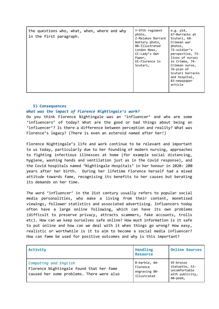| the questions who, what, when, where and why<br>in the first paragraph. | Y-97th regiment<br>photo,<br>Z-Malakov Barrack<br>Battery photo,<br>BB-Illustrated<br>London News,<br>$CC$ -Lady's Own<br>Paper,<br>EE-Florence in<br>Scutari, | e.g. $p14$ ,<br>67-Barracks at<br>Scutari, 68-<br>Crimean war<br>photos,<br>72-soldier's<br>perspective, 73-<br>lives of nurses<br>in Crimea, 74-<br>Crimean nurse,<br>76-plan of<br>Scutari barracks<br>and hospital,<br>83-newspaper<br>article |
|-------------------------------------------------------------------------|----------------------------------------------------------------------------------------------------------------------------------------------------------------|---------------------------------------------------------------------------------------------------------------------------------------------------------------------------------------------------------------------------------------------------|
|-------------------------------------------------------------------------|----------------------------------------------------------------------------------------------------------------------------------------------------------------|---------------------------------------------------------------------------------------------------------------------------------------------------------------------------------------------------------------------------------------------------|

## **5) Consequences**

# *What was the impact of Florence Nightingale's work?*

Do you think Florence Nightingale was an 'influencer' and who are some 'influencers' of today? What are the good or bad things about being an 'influencer'? Is there a difference between perception and reality? What was Florence's legacy? (There is even an asteroid named after her!)

Florence Nightingale's life and work continue to be relevant and important to us today, particularly due to her founding of modern nursing, approaches to fighting infectious illnesses at home (for example social distancing, hygiene, washing hands and ventilation just as in the Covid response), and the Covid hospitals named 'Nightingale Hospitals' in her honour in 2020: 200 years after her birth. During her lifetime Florence herself had a mixed attitude towards fame, recognising its benefits to her causes but berating its demands on her time.

The word 'influencer' in the 21st century usually refers to popular social media personalities, who make a living from their content, monetised viewings, follower statistics and associated advertising. Influencers today often have a large online following, which can have its own problems (difficult to preserve privacy, attracts scammers, fake accounts, trolls etc). How can we keep ourselves safe online? How much information is it safe to put online and how can we deal with it when things go wrong? How easy, realistic or worthwhile is it to aim to become a social media influencer? How can fame be used for positive outcomes and why is this important?

| Activity                                                                                                       | Handling<br><b>Resource</b>                               | <b>Online Sources</b>                                                       |
|----------------------------------------------------------------------------------------------------------------|-----------------------------------------------------------|-----------------------------------------------------------------------------|
| Computing and English<br>Florence Nightingale found that her fame<br>caused her some problems. There were also | B-barbie, AA-<br>Florence<br>engraving BB-<br>Illustrated | 45-bronze<br>statuette, 53-<br>uncomfortable<br>with publicity,<br>60-poem, |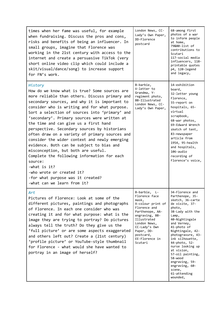| times when her fame was useful, for example<br>when fundraising. Discuss the pros and cons,<br>risks and benefits of being an influencer. In<br>small groups, imagine that Florence was<br>working in the 21st century with access to the<br>internet and create a persuasive TikTok (very<br>short online video clip which could include a<br>skit/visual/dance/song) to increase support<br>for FN's work.                                                                                                                                                                                                                                                                                                                                                              | London News, CC-<br>Lady's Own Paper,<br>DD-Florence<br>postcard                                                                                                                                                         | 68-among first<br>photos of a war<br>to inform people<br>at home,<br>79&80-list of<br>contributions to<br>Scutari<br>117-social media<br>influencers, 118-<br>printable quotes<br>p4, 120-legend<br>and legacy,                                                                                                                                                                         |
|---------------------------------------------------------------------------------------------------------------------------------------------------------------------------------------------------------------------------------------------------------------------------------------------------------------------------------------------------------------------------------------------------------------------------------------------------------------------------------------------------------------------------------------------------------------------------------------------------------------------------------------------------------------------------------------------------------------------------------------------------------------------------|--------------------------------------------------------------------------------------------------------------------------------------------------------------------------------------------------------------------------|-----------------------------------------------------------------------------------------------------------------------------------------------------------------------------------------------------------------------------------------------------------------------------------------------------------------------------------------------------------------------------------------|
| History<br>How do we know what is true? Some sources are<br>more reliable than others. Discuss primary and<br>secondary sources, and why it is important to<br>consider who is writing and for what purpose.<br>Sort a selection of sources into 'primary' and<br>'secondary'. Primary sources were written at<br>the time and can give us a first hand<br>perspective. Secondary sources by historians<br>often draw on a variety of primary sources and<br>consider the wider context and newly emerging<br>evidence. Both can be subject to bias and<br>misconception, but both are useful.<br>Complete the following information for each<br>source:<br>-what is it?<br>-who wrote or created it?<br>-for what purpose was it created?<br>-what can we learn from it? | B-barbie,<br>V-letter to<br>Grandma, Y-<br>regiment photo,<br>BB-Illustrated<br>London News, CC-<br>Lady's Own Paper,                                                                                                    | 14-exhibition<br>board,<br>32-letter young<br>Florence,<br>55-report on<br>hospitals, 65-<br>virtual<br>scrapbook,<br>68-war photos,<br>69-Edward Wrench<br>sketch of tent,<br>83-newspaper<br>article from<br>1954, 95-health<br>and hospitals,<br>106-audio<br>recording of<br>Florence's voice,                                                                                      |
| Art<br>Pictures of Florence: Look at some of the<br>different pictures, paintings and photographs<br>of Florence. In each one consider who was<br>creating it and for what purpose: what is the<br>image they are trying to portray? Do pictures<br>always tell the truth? Do they give us the<br>'full picture' or are some aspects exaggerated<br>and others left out? Create a (21st century)<br>'profile picture' or YouTube-style thumbnail<br>for Florence - what would she have wanted to<br>portray in an image of herself?                                                                                                                                                                                                                                       | B-barbie, L-<br>Florence face<br>mask,<br>X-colour print of<br>Florence and<br>Parthenope, AA-<br>engraving, BB-<br>Illustrated<br>London News,<br>CC-Lady's Own<br>Paper, DD-<br>postcard,<br>EE-Florence in<br>Scutari | 34-Florence and<br>Parthenope, 35-<br>sketch, 36-carte<br>de visite, 37-<br>photo,<br>38-Lady with the<br>Lamp,<br>40-Nightingale<br>and Verney,<br>41-photo of<br>Nightingale, 42-<br>photogravure, 43-<br>ink silhouette,<br>44-photo, 52-<br>nurse looking up<br>at vision,<br>57-oil painting,<br>58-wood<br>engraving, 59-<br>engraving, 60-<br>scene,<br>61-attending<br>wounded, |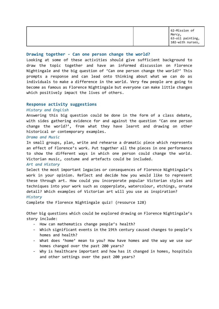#### **Drawing together - Can one person change the world?**

Looking at some of these activities should give sufficient background to draw the topic together and have an informed discussion on Florence Nightingale and the big question of 'Can one person change the world?' This prompts a response and can lead onto thinking about what we can do as individuals to make a difference in the world. Very few people are going to become as famous as Florence Nightingale but everyone can make little changes which positively impact the lives of others.

#### **Response activity suggestions**

#### *History and English*

Answering this big question could be done in the form of a class debate, with sides gathering evidence for and against the question 'Can one person change the world?', from what they have learnt and drawing on other historical or contemporary examples.

#### *Drama and Music*

In small groups, plan, write and rehearse a dramatic piece which represents an effect of Florence's work. Put together all the pieces in one performance to show the different ways in which one person could change the world. Victorian music, costume and artefacts could be included.

#### *Art and History*

Select the most important legacies or consequences of Florence Nightingale's work in your opinion. Reflect and decide how you would like to represent these through art. How could you incorporate popular Victorian styles and techniques into your work such as copperplate, watercolour, etchings, ornate detail? Which examples of Victorian art will you use as inspiration? *History*

Complete the Florence Nightingale quiz! (resource 128)

Other big questions which could be explored drawing on Florence Nightingale's story include:

- How can mathematics change people's health?
- Which significant events in the 19th century caused changes to people's homes and health?
- What does 'home' mean to you? How have homes and the way we use our homes changed over the past 200 years?
- Why is healthcare important and how has it changed in homes, hospitals and other settings over the past 200 years?